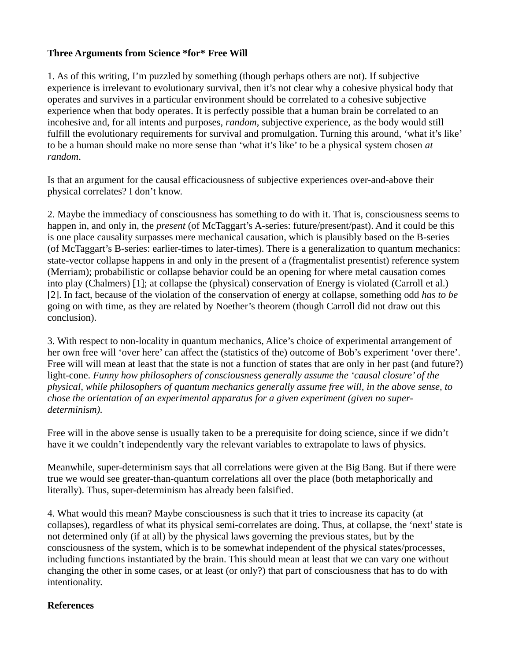## **Three Arguments from Science \*for\* Free Will**

1. As of this writing, I'm puzzled by something (though perhaps others are not). If subjective experience is irrelevant to evolutionary survival, then it's not clear why a cohesive physical body that operates and survives in a particular environment should be correlated to a cohesive subjective experience when that body operates. It is perfectly possible that a human brain be correlated to an incohesive and, for all intents and purposes, *random*, subjective experience, as the body would still fulfill the evolutionary requirements for survival and promulgation. Turning this around, 'what it's like' to be a human should make no more sense than 'what it's like' to be a physical system chosen *at random*.

Is that an argument for the causal efficaciousness of subjective experiences over-and-above their physical correlates? I don't know.

2. Maybe the immediacy of consciousness has something to do with it. That is, consciousness seems to happen in, and only in, the *present* (of McTaggart's A-series: future/present/past). And it could be this is one place causality surpasses mere mechanical causation, which is plausibly based on the B-series (of McTaggart's B-series: earlier-times to later-times). There is a generalization to quantum mechanics: state-vector collapse happens in and only in the present of a (fragmentalist presentist) reference system (Merriam); probabilistic or collapse behavior could be an opening for where metal causation comes into play (Chalmers) [1]; at collapse the (physical) conservation of Energy is violated (Carroll et al.) [2]. In fact, because of the violation of the conservation of energy at collapse, something odd *has to be* going on with time, as they are related by Noether's theorem (though Carroll did not draw out this conclusion).

3. With respect to non-locality in quantum mechanics, Alice's choice of experimental arrangement of her own free will 'over here' can affect the (statistics of the) outcome of Bob's experiment 'over there'. Free will will mean at least that the state is not a function of states that are only in her past (and future?) light-cone. *Funny how philosophers of consciousness generally assume the 'causal closure' of the physical, while philosophers of quantum mechanics generally assume free will, in the above sense, to chose the orientation of an experimental apparatus for a given experiment (given no superdeterminism).*

Free will in the above sense is usually taken to be a prerequisite for doing science, since if we didn't have it we couldn't independently vary the relevant variables to extrapolate to laws of physics.

Meanwhile, super-determinism says that all correlations were given at the Big Bang. But if there were true we would see greater-than-quantum correlations all over the place (both metaphorically and literally). Thus, super-determinism has already been falsified.

4. What would this mean? Maybe consciousness is such that it tries to increase its capacity (at collapses), regardless of what its physical semi-correlates are doing. Thus, at collapse, the 'next' state is not determined only (if at all) by the physical laws governing the previous states, but by the consciousness of the system, which is to be somewhat independent of the physical states/processes, including functions instantiated by the brain. This should mean at least that we can vary one without changing the other in some cases, or at least (or only?) that part of consciousness that has to do with intentionality.

## **References**